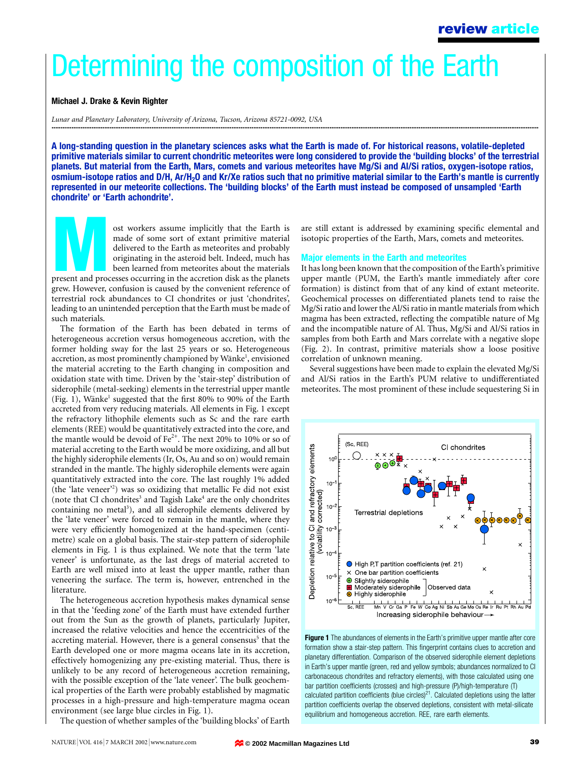# Determining the composition of the Earth

Michael J. Drake & Kevin Righter

Lunar and Planetary Laboratory, University of Arizona, Tucson, Arizona 85721-0092, USA ............................................................................................................................................................................................................................................................................

A long-standing question in the planetary sciences asks what the Earth is made of. For historical reasons, volatile-depleted primitive materials similar to current chondritic meteorites were long considered to provide the `building blocks' of the terrestrial planets. But material from the Earth, Mars, comets and various meteorites have Mg/Si and Al/Si ratios, oxygen-isotope ratios, osmium-isotope ratios and D/H, Ar/H2O and Kr/Xe ratios such that no primitive material similar to the Earth's mantle is currently represented in our meteorite collections. The `building blocks' of the Earth must instead be composed of unsampled `Earth chondrite' or 'Earth achondrite'.

M ost workers assume implicitly that the Earth is made of some sort of extant primitive material delivered to the Earth as meteorites and probably originating in the asteroid belt. Indeed, much has been learned from meteorites about the materials present and processes occurring in the accretion disk as the planets

grew. However, confusion is caused by the convenient reference of terrestrial rock abundances to CI chondrites or just `chondrites', leading to an unintended perception that the Earth must be made of such materials.

The formation of the Earth has been debated in terms of heterogeneous accretion versus homogeneous accretion, with the former holding sway for the last 25 years or so. Heterogeneous accretion, as most prominently championed by Wänke<sup>1</sup>, envisioned the material accreting to the Earth changing in composition and oxidation state with time. Driven by the `stair-step' distribution of siderophile (metal-seeking) elements in the terrestrial upper mantle (Fig. 1), Wänke<sup>1</sup> suggested that the first 80% to 90% of the Earth accreted from very reducing materials. All elements in Fig. 1 except the refractory lithophile elements such as Sc and the rare earth elements (REE) would be quantitatively extracted into the core, and the mantle would be devoid of  $\text{Fe}^{2+}$ . The next 20% to 10% or so of material accreting to the Earth would be more oxidizing, and all but the highly siderophile elements (Ir, Os, Au and so on) would remain stranded in the mantle. The highly siderophile elements were again quantitatively extracted into the core. The last roughly 1% added (the 'late veneer'<sup>2</sup>) was so oxidizing that metallic Fe did not exist (note that CI chondrites<sup>3</sup> and Tagish Lake<sup>4</sup> are the only chondrites containing no metal<sup>3</sup>), and all siderophile elements delivered by the `late veneer' were forced to remain in the mantle, where they were very efficiently homogenized at the hand-specimen (centimetre) scale on a global basis. The stair-step pattern of siderophile elements in Fig. 1 is thus explained. We note that the term `late veneer' is unfortunate, as the last dregs of material accreted to Earth are well mixed into at least the upper mantle, rather than veneering the surface. The term is, however, entrenched in the literature.

The heterogeneous accretion hypothesis makes dynamical sense in that the `feeding zone' of the Earth must have extended further out from the Sun as the growth of planets, particularly Jupiter, increased the relative velocities and hence the eccentricities of the accreting material. However, there is a general consensus<sup>5</sup> that the Earth developed one or more magma oceans late in its accretion, effectively homogenizing any pre-existing material. Thus, there is unlikely to be any record of heterogeneous accretion remaining, with the possible exception of the 'late veneer'. The bulk geochemical properties of the Earth were probably established by magmatic processes in a high-pressure and high-temperature magma ocean environment (see large blue circles in Fig. 1).

The question of whether samples of the `building blocks' of Earth

are still extant is addressed by examining specific elemental and isotopic properties of the Earth, Mars, comets and meteorites.

#### Major elements in the Earth and meteorites

It has long been known that the composition of the Earth's primitive upper mantle (PUM, the Earth's mantle immediately after core formation) is distinct from that of any kind of extant meteorite. Geochemical processes on differentiated planets tend to raise the Mg/Si ratio and lower the Al/Si ratio in mantle materials from which magma has been extracted, reflecting the compatible nature of Mg and the incompatible nature of Al. Thus, Mg/Si and Al/Si ratios in samples from both Earth and Mars correlate with a negative slope (Fig. 2). In contrast, primitive materials show a loose positive correlation of unknown meaning.

Several suggestions have been made to explain the elevated Mg/Si and Al/Si ratios in the Earth's PUM relative to undifferentiated meteorites. The most prominent of these include sequestering Si in



Figure 1 The abundances of elements in the Earth's primitive upper mantle after core formation show a stair-step pattern. This fingerprint contains clues to accretion and planetary differentiation. Comparison of the observed siderophile element depletions in Earth's upper mantle (green, red and yellow symbols; abundances normalized to CI carbonaceous chondrites and refractory elements), with those calculated using one bar partition coefficients (crosses) and high-pressure  $(P)/$ high-temperature  $(T)$ calculated partition coefficients (blue circles) $^{21}$ . Calculated depletions using the latter partition coefficients overlap the observed depletions, consistent with metal-silicate equilibrium and homogeneous accretion. REE, rare earth elements.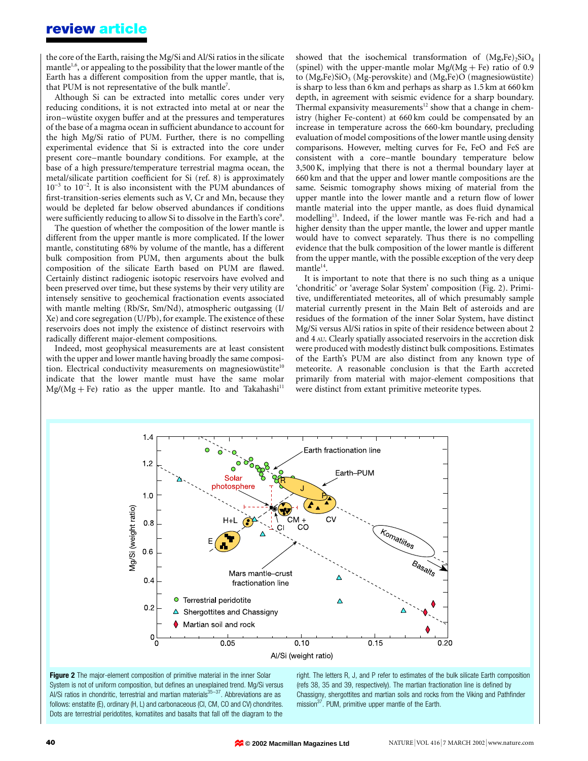the core of the Earth, raising the Mg/Si and Al/Si ratios in the silicate mantle<sup>1,6</sup>, or appealing to the possibility that the lower mantle of the Earth has a different composition from the upper mantle, that is, that PUM is not representative of the bulk mantle<sup>7</sup>.

Although Si can be extracted into metallic cores under very reducing conditions, it is not extracted into metal at or near the iron-wüstite oxygen buffer and at the pressures and temperatures of the base of a magma ocean in sufficient abundance to account for the high Mg/Si ratio of PUM. Further, there is no compelling experimental evidence that Si is extracted into the core under present core-mantle boundary conditions. For example, at the base of a high pressure/temperature terrestrial magma ocean, the metal/silicate partition coefficient for Si (ref. 8) is approximately  $10^{-3}$  to  $10^{-2}$ . It is also inconsistent with the PUM abundances of first-transition-series elements such as V, Cr and Mn, because they would be depleted far below observed abundances if conditions were sufficiently reducing to allow Si to dissolve in the Earth's core<sup>9</sup>.

The question of whether the composition of the lower mantle is different from the upper mantle is more complicated. If the lower mantle, constituting 68% by volume of the mantle, has a different bulk composition from PUM, then arguments about the bulk composition of the silicate Earth based on PUM are flawed. Certainly distinct radiogenic isotopic reservoirs have evolved and been preserved over time, but these systems by their very utility are intensely sensitive to geochemical fractionation events associated with mantle melting (Rb/Sr, Sm/Nd), atmospheric outgassing (I/ Xe) and core segregation (U/Pb), for example. The existence of these reservoirs does not imply the existence of distinct reservoirs with radically different major-element compositions.

Indeed, most geophysical measurements are at least consistent with the upper and lower mantle having broadly the same composition. Electrical conductivity measurements on magnesiowüstite<sup>10</sup> indicate that the lower mantle must have the same molar  $Mg/(Mg + Fe)$  ratio as the upper mantle. Ito and Takahashi<sup>11</sup>

showed that the isochemical transformation of  $(Mg,Fe)_{2}SiO<sub>4</sub>$ (spinel) with the upper-mantle molar  $Mg/(Mg + Fe)$  ratio of 0.9 to  $(Mg,Fe)SiO<sub>3</sub> (Mg-perovskite)$  and  $(Mg,Fe)O$  (magnesiowüstite) is sharp to less than 6 km and perhaps as sharp as 1.5 km at 660 km depth, in agreement with seismic evidence for a sharp boundary. Thermal expansivity measurements<sup>12</sup> show that a change in chemistry (higher Fe-content) at 660 km could be compensated by an increase in temperature across the 660-km boundary, precluding evaluation of model compositions of the lower mantle using density comparisons. However, melting curves for Fe, FeO and FeS are consistent with a core-mantle boundary temperature below 3,500 K, implying that there is not a thermal boundary layer at 660 km and that the upper and lower mantle compositions are the same. Seismic tomography shows mixing of material from the upper mantle into the lower mantle and a return flow of lower mantle material into the upper mantle, as does fluid dynamical modelling<sup>13</sup>. Indeed, if the lower mantle was Fe-rich and had a higher density than the upper mantle, the lower and upper mantle would have to convect separately. Thus there is no compelling evidence that the bulk composition of the lower mantle is different from the upper mantle, with the possible exception of the very deep mantle<sup>14</sup>.

It is important to note that there is no such thing as a unique `chondritic' or `average Solar System' composition (Fig. 2). Primitive, undifferentiated meteorites, all of which presumably sample material currently present in the Main Belt of asteroids and are residues of the formation of the inner Solar System, have distinct Mg/Si versus Al/Si ratios in spite of their residence between about 2 and 4 AU. Clearly spatially associated reservoirs in the accretion disk were produced with modestly distinct bulk compositions. Estimates of the Earth's PUM are also distinct from any known type of meteorite. A reasonable conclusion is that the Earth accreted primarily from material with major-element compositions that were distinct from extant primitive meteorite types.





right. The letters R, J, and P refer to estimates of the bulk silicate Earth composition (refs  $38$ ,  $35$  and  $39$ , respectively). The martian fractionation line is defined by Chassigny, shergottites and martian soils and rocks from the Viking and Pathfinder mission<sup>37</sup>. PUM, primitive upper mantle of the Earth.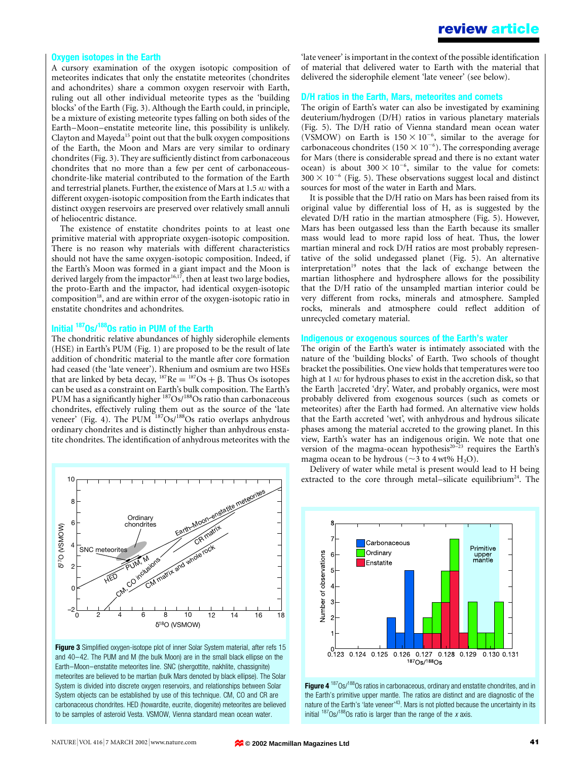#### Oxygen isotopes in the Earth

A cursory examination of the oxygen isotopic composition of meteorites indicates that only the enstatite meteorites (chondrites and achondrites) share a common oxygen reservoir with Earth, ruling out all other individual meteorite types as the `building blocks' of the Earth (Fig. 3). Although the Earth could, in principle, be a mixture of existing meteorite types falling on both sides of the Earth-Moon-enstatite meteorite line, this possibility is unlikely. Clayton and Mayeda<sup>15</sup> point out that the bulk oxygen compositions of the Earth, the Moon and Mars are very similar to ordinary chondrites (Fig. 3). They are sufficiently distinct from carbonaceous chondrites that no more than a few per cent of carbonaceouschondrite-like material contributed to the formation of the Earth and terrestrial planets. Further, the existence of Mars at 1.5 AU with a different oxygen-isotopic composition from the Earth indicates that distinct oxygen reservoirs are preserved over relatively small annuli of heliocentric distance.

The existence of enstatite chondrites points to at least one primitive material with appropriate oxygen-isotopic composition. There is no reason why materials with different characteristics should not have the same oxygen-isotopic composition. Indeed, if the Earth's Moon was formed in a giant impact and the Moon is derived largely from the impactor<sup>16,17</sup>, then at least two large bodies, the proto-Earth and the impactor, had identical oxygen-isotopic composition<sup>18</sup>, and are within error of the oxygen-isotopic ratio in enstatite chondrites and achondrites.

### Initial <sup>187</sup>Os/<sup>188</sup>Os ratio in PUM of the Earth

The chondritic relative abundances of highly siderophile elements (HSE) in Earth's PUM (Fig. 1) are proposed to be the result of late addition of chondritic material to the mantle after core formation had ceased (the 'late veneer'). Rhenium and osmium are two HSEs that are linked by beta decay,  $^{187}$ Re =  $^{187}$ Os +  $\beta$ . Thus Os isotopes can be used as a constraint on Earth's bulk composition. The Earth's PUM has a significantly higher  $187Os/188Os$  ratio than carbonaceous chondrites, effectively ruling them out as the source of the `late veneer' (Fig. 4). The  $PUM$ <sup>187</sup>Os/<sup>188</sup>Os ratio overlaps anhydrous ordinary chondrites and is distinctly higher than anhydrous enstatite chondrites. The identification of anhydrous meteorites with the



**Figure 3** Simplified oxygen-isotope plot of inner Solar System material, after refs 15 and 40-42. The PUM and M (the bulk Moon) are in the small black ellipse on the Earth-Moon-enstatite meteorites line. SNC (shergottite, nakhlite, chassignite) meteorites are believed to be martian (bulk Mars denoted by black ellipse). The Solar System is divided into discrete oxygen reservoirs, and relationships between Solar System objects can be established by use of this technique. CM, CO and CR are carbonaceous chondrites. HED (howardite, eucrite, diogenite) meteorites are believed to be samples of asteroid Vesta. VSMOW, Vienna standard mean ocean water.

'late veneer' is important in the context of the possible identification of material that delivered water to Earth with the material that delivered the siderophile element 'late veneer' (see below).

#### D/H ratios in the Earth, Mars, meteorites and comets

The origin of Earth's water can also be investigated by examining deuterium/hydrogen (D/H) ratios in various planetary materials (Fig. 5). The D/H ratio of Vienna standard mean ocean water (VSMOW) on Earth is  $150 \times 10^{-6}$ , similar to the average for carbonaceous chondrites (150  $\times$  10<sup>-6</sup>). The corresponding average for Mars (there is considerable spread and there is no extant water ocean) is about  $300 \times 10^{-6}$ , similar to the value for comets:  $300 \times 10^{-6}$  (Fig. 5). These observations suggest local and distinct sources for most of the water in Earth and Mars.

It is possible that the D/H ratio on Mars has been raised from its original value by differential loss of H, as is suggested by the elevated D/H ratio in the martian atmosphere (Fig. 5). However, Mars has been outgassed less than the Earth because its smaller mass would lead to more rapid loss of heat. Thus, the lower martian mineral and rock D/H ratios are most probably representative of the solid undegassed planet (Fig. 5). An alternative interpretation<sup>19</sup> notes that the lack of exchange between the martian lithosphere and hydrosphere allows for the possibility that the D/H ratio of the unsampled martian interior could be very different from rocks, minerals and atmosphere. Sampled rocks, minerals and atmosphere could reflect addition of unrecycled cometary material.

#### Indigenous or exogenous sources of the Earth's water

The origin of the Earth's water is intimately associated with the nature of the `building blocks' of Earth. Two schools of thought bracket the possibilities. One view holds that temperatures were too high at 1 AU for hydrous phases to exist in the accretion disk, so that the Earth ]accreted `dry'. Water, and probably organics, were most probably delivered from exogenous sources (such as comets or meteorites) after the Earth had formed. An alternative view holds that the Earth accreted `wet', with anhydrous and hydrous silicate phases among the material accreted to the growing planet. In this view, Earth's water has an indigenous origin. We note that one version of the magma-ocean hypothesis<sup>20-23</sup> requires the Earth's magma ocean to be hydrous ( $\sim$ 3 to 4 wt% H<sub>2</sub>O).

Delivery of water while metal is present would lead to H being extracted to the core through metal-silicate equilibrium<sup>24</sup>. The



Figure 4 <sup>187</sup>Os/<sup>188</sup>Os ratios in carbonaceous, ordinary and enstatite chondrites, and in the Earth's primitive upper mantle. The ratios are distinct and are diagnostic of the nature of the Earth's 'late veneer'<sup>43</sup>. Mars is not plotted because the uncertainty in its initial  $187$ Os/ $188$ Os ratio is larger than the range of the x axis.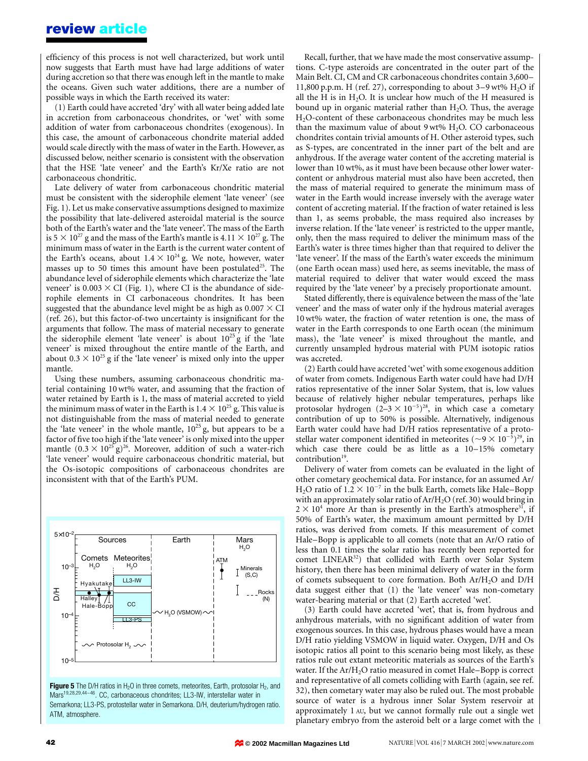efficiency of this process is not well characterized, but work until now suggests that Earth must have had large additions of water during accretion so that there was enough left in the mantle to make the oceans. Given such water additions, there are a number of possible ways in which the Earth received its water:

(1) Earth could have accreted `dry' with all water being added late in accretion from carbonaceous chondrites, or `wet' with some addition of water from carbonaceous chondrites (exogenous). In this case, the amount of carbonaceous chondrite material added would scale directly with the mass of water in the Earth. However, as discussed below, neither scenario is consistent with the observation that the HSE `late veneer' and the Earth's Kr/Xe ratio are not carbonaceous chondritic.

Late delivery of water from carbonaceous chondritic material must be consistent with the siderophile element 'late veneer' (see Fig. 1). Let us make conservative assumptions designed to maximize the possibility that late-delivered asteroidal material is the source both of the Earth's water and the 'late veneer'. The mass of the Earth is  $5 \times 10^{27}$  g and the mass of the Earth's mantle is  $4.11 \times 10^{27}$  g. The minimum mass of water in the Earth is the current water content of the Earth's oceans, about  $1.4 \times 10^{24}$  g. We note, however, water masses up to 50 times this amount have been postulated<sup>25</sup>. The abundance level of siderophile elements which characterize the `late veneer' is  $0.003 \times CI$  (Fig. 1), where CI is the abundance of siderophile elements in CI carbonaceous chondrites. It has been suggested that the abundance level might be as high as  $0.007 \times CI$ (ref.  $26$ ), but this factor-of-two uncertainty is insignificant for the arguments that follow. The mass of material necessary to generate the siderophile element 'late veneer' is about  $10^{25}$  g if the 'late veneer' is mixed throughout the entire mantle of the Earth, and about 0.3  $\times$  10<sup>25</sup> g if the 'late veneer' is mixed only into the upper mantle.

Using these numbers, assuming carbonaceous chondritic material containing 10wt% water, and assuming that the fraction of water retained by Earth is 1, the mass of material accreted to yield the minimum mass of water in the Earth is  $1.4 \times 10^{25}$  g. This value is not distinguishable from the mass of material needed to generate the 'late veneer' in the whole mantle,  $10^{25}$  g, but appears to be a factor of five too high if the 'late veneer' is only mixed into the upper mantle  $(0.3 \times 10^{25} \text{ g})^{26}$ . Moreover, addition of such a water-rich `late veneer' would require carbonaceous chondritic material, but the Os-isotopic compositions of carbonaceous chondrites are inconsistent with that of the Earth's PUM.



Figure 5 The D/H ratios in H<sub>2</sub>O in three comets, meteorites, Earth, protosolar H<sub>2</sub>, and Mars<sup>19,28,29,44-46</sup>. CC, carbonaceous chondrites; LL3-IW, interstellar water in Semarkona; LL3-PS, protostellar water in Semarkona. D/H, deuterium/hydrogen ratio. ATM, atmosphere.

Recall, further, that we have made the most conservative assumptions. C-type asteroids are concentrated in the outer part of the Main Belt. CI, CM and CR carbonaceous chondrites contain 3,600-11,800 p.p.m. H (ref. 27), corresponding to about 3–9 wt%  $H_2O$  if all the H is in  $H_2O$ . It is unclear how much of the H measured is bound up in organic material rather than  $H_2O$ . Thus, the average H<sub>2</sub>O-content of these carbonaceous chondrites may be much less than the maximum value of about  $9$  wt%  $H_2O$ . CO carbonaceous chondrites contain trivial amounts of H. Other asteroid types, such as S-types, are concentrated in the inner part of the belt and are anhydrous. If the average water content of the accreting material is lower than 10wt%, as it must have been because other lower watercontent or anhydrous material must also have been accreted, then the mass of material required to generate the minimum mass of water in the Earth would increase inversely with the average water content of accreting material. If the fraction of water retained is less than 1, as seems probable, the mass required also increases by inverse relation. If the 'late veneer' is restricted to the upper mantle, only, then the mass required to deliver the minimum mass of the Earth's water is three times higher than that required to deliver the `late veneer'. If the mass of the Earth's water exceeds the minimum (one Earth ocean mass) used here, as seems inevitable, the mass of material required to deliver that water would exceed the mass required by the `late veneer' by a precisely proportionate amount.

Stated differently, there is equivalence between the mass of the `late veneer' and the mass of water only if the hydrous material averages 10wt% water, the fraction of water retention is one, the mass of water in the Earth corresponds to one Earth ocean (the minimum mass), the 'late veneer' is mixed throughout the mantle, and currently unsampled hydrous material with PUM isotopic ratios was accreted.

(2) Earth could have accreted `wet'with some exogenous addition of water from comets. Indigenous Earth water could have had D/H ratios representative of the inner Solar System, that is, low values because of relatively higher nebular temperatures, perhaps like protosolar hydrogen  $(2-3 \times 10^{-5})^{28}$ , in which case a cometary contribution of up to 50% is possible. Alternatively, indigenous Earth water could have had D/H ratios representative of a protostellar water component identified in meteorites (~9  $\times$  10<sup>-5</sup>)<sup>29</sup>, in which case there could be as little as a  $10-15%$  cometary contribution<sup>19</sup>.

Delivery of water from comets can be evaluated in the light of other cometary geochemical data. For instance, for an assumed Ar/  $H_2O$  ratio of  $1.2 \times 10^{-7}$  in the bulk Earth, comets like Hale–Bopp with an approximately solar ratio of  $Ar/H<sub>2</sub>O$  (ref. 30) would bring in  $2 \times 10^4$  more Ar than is presently in the Earth's atmosphere<sup>31</sup>, if 50% of Earth's water, the maximum amount permitted by D/H ratios, was derived from comets. If this measurement of comet Hale-Bopp is applicable to all comets (note that an Ar/O ratio of less than 0.1 times the solar ratio has recently been reported for comet LINEAR<sup>32</sup>) that collided with Earth over Solar System history, then there has been minimal delivery of water in the form of comets subsequent to core formation. Both Ar/H<sub>2</sub>O and D/H data suggest either that (1) the 'late veneer' was non-cometary water-bearing material or that (2) Earth accreted `wet'.

(3) Earth could have accreted `wet', that is, from hydrous and anhydrous materials, with no significant addition of water from exogenous sources. In this case, hydrous phases would have a mean D/H ratio yielding VSMOW in liquid water. Oxygen, D/H and Os isotopic ratios all point to this scenario being most likely, as these ratios rule out extant meteoritic materials as sources of the Earth's water. If the Ar/ $H_2O$  ratio measured in comet Hale-Bopp is correct and representative of all comets colliding with Earth (again, see ref. 32), then cometary water may also be ruled out. The most probable source of water is a hydrous inner Solar System reservoir at approximately 1 AU, but we cannot formally rule out a single wet planetary embryo from the asteroid belt or a large comet with the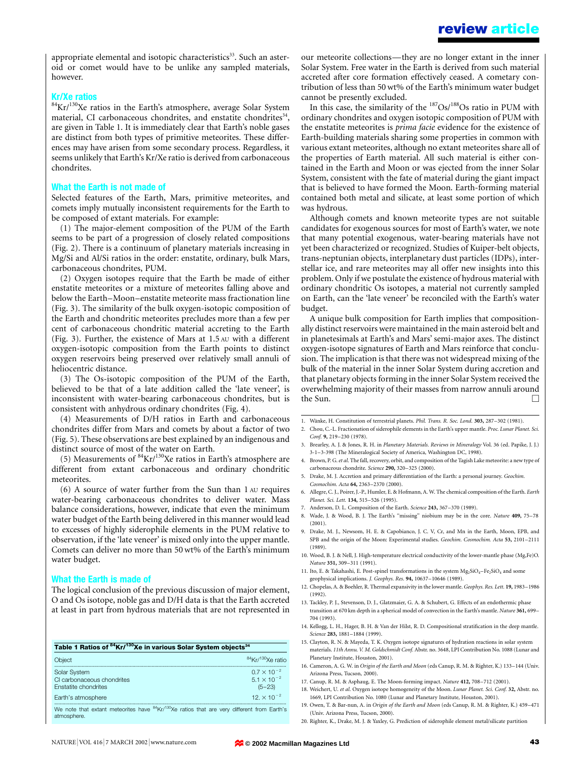appropriate elemental and isotopic characteristics<sup>33</sup>. Such an asteroid or comet would have to be unlike any sampled materials, however.

#### Kr/Xe ratios

 $84$ Kr/ $130$ Xe ratios in the Earth's atmosphere, average Solar System material, CI carbonaceous chondrites, and enstatite chondrites<sup>34</sup>, are given in Table 1. It is immediately clear that Earth's noble gases are distinct from both types of primitive meteorites. These differences may have arisen from some secondary process. Regardless, it seems unlikely that Earth's Kr/Xe ratio is derived from carbonaceous chondrites.

#### What the Earth is not made of

Selected features of the Earth, Mars, primitive meteorites, and comets imply mutually inconsistent requirements for the Earth to be composed of extant materials. For example:

(1) The major-element composition of the PUM of the Earth seems to be part of a progression of closely related compositions (Fig. 2). There is a continuum of planetary materials increasing in Mg/Si and Al/Si ratios in the order: enstatite, ordinary, bulk Mars, carbonaceous chondrites, PUM.

(2) Oxygen isotopes require that the Earth be made of either enstatite meteorites or a mixture of meteorites falling above and below the Earth–Moon–enstatite meteorite mass fractionation line (Fig. 3). The similarity of the bulk oxygen-isotopic composition of the Earth and chondritic meteorites precludes more than a few per cent of carbonaceous chondritic material accreting to the Earth (Fig. 3). Further, the existence of Mars at 1.5 AU with a different oxygen-isotopic composition from the Earth points to distinct oxygen reservoirs being preserved over relatively small annuli of heliocentric distance.

(3) The Os-isotopic composition of the PUM of the Earth, believed to be that of a late addition called the 'late veneer', is inconsistent with water-bearing carbonaceous chondrites, but is consistent with anhydrous ordinary chondrites (Fig. 4).

(4) Measurements of D/H ratios in Earth and carbonaceous chondrites differ from Mars and comets by about a factor of two (Fig. 5). These observations are best explained by an indigenous and distinct source of most of the water on Earth.

(5) Measurements of  ${}^{84}\text{Kr} / {}^{130}\text{Xe}$  ratios in Earth's atmosphere are different from extant carbonaceous and ordinary chondritic meteorites.

(6) A source of water further from the Sun than 1 AU requires water-bearing carbonaceous chondrites to deliver water. Mass balance considerations, however, indicate that even the minimum water budget of the Earth being delivered in this manner would lead to excesses of highly siderophile elements in the PUM relative to observation, if the `late veneer' is mixed only into the upper mantle. Comets can deliver no more than 50wt% of the Earth's minimum water budget.

#### What the Earth is made of

The logical conclusion of the previous discussion of major element, O and Os isotope, noble gas and D/H data is that the Earth accreted at least in part from hydrous materials that are not represented in

| Table 1 Ratios of <sup>84</sup> Kr/ <sup>130</sup> Xe in various Solar System objects <sup>34</sup>                                |                                                            |
|------------------------------------------------------------------------------------------------------------------------------------|------------------------------------------------------------|
| Object                                                                                                                             | 84Kr/ <sup>130</sup> Xe ratio                              |
| Solar System<br>CI carbonaceous chondrites<br><b>Fnstatite chondrites</b>                                                          | $0.7 \times 10^{-2}$<br>$5.1 \times 10^{-2}$<br>$(5 - 23)$ |
| Earth's atmosphere                                                                                                                 | $12 \times 10^{-2}$                                        |
| We note that extant meteorites have <sup>84</sup> Kr/ <sup>130</sup> Xe ratios that are very different from Earth's<br>atmosphere. |                                                            |

our meteorite collections—they are no longer extant in the inner Solar System. Free water in the Earth is derived from such material accreted after core formation effectively ceased. A cometary contribution of less than 50wt% of the Earth's minimum water budget cannot be presently excluded.

In this case, the similarity of the  $187Os/188Os$  ratio in PUM with ordinary chondrites and oxygen isotopic composition of PUM with the enstatite meteorites is prima facie evidence for the existence of Earth-building materials sharing some properties in common with various extant meteorites, although no extant meteorites share all of the properties of Earth material. All such material is either contained in the Earth and Moon or was ejected from the inner Solar System, consistent with the fate of material during the giant impact that is believed to have formed the Moon. Earth-forming material contained both metal and silicate, at least some portion of which was hydrous.

Although comets and known meteorite types are not suitable candidates for exogenous sources for most of Earth's water, we note that many potential exogenous, water-bearing materials have not yet been characterized or recognized. Studies of Kuiper-belt objects, trans-neptunian objects, interplanetary dust particles (IDPs), interstellar ice, and rare meteorites may all offer new insights into this problem. Only if we postulate the existence of hydrous material with ordinary chondritic Os isotopes, a material not currently sampled on Earth, can the `late veneer' be reconciled with the Earth's water budget.

A unique bulk composition for Earth implies that compositionally distinct reservoirs were maintained in the main asteroid belt and in planetesimals at Earth's and Mars' semi-major axes. The distinct oxygen-isotope signatures of Earth and Mars reinforce that conclusion. The implication is that there was not widespread mixing of the bulk of the material in the inner Solar System during accretion and that planetary objects forming in the inner Solar System received the overwhelming majority of their masses from narrow annuli around the Sun.  $\Box$ 

- 1. Wänke, H. Constitution of terrestrial planets. Phil. Trans. R. Soc. Lond. 303, 287-302 (1981).
- 2. Chou, C.-L. Fractionation of siderophile elements in the Earth's upper mantle. Proc. Lunar Planet. Sci. Conf. 9, 219-230 (1978).
- 3. Brearley, A. J. & Jones, R. H. in Planetary Materials. Reviews in Mineralogy Vol. 36 (ed. Papike, J. J.) 3-1-3-398 (The Mineralogical Society of America, Washington DC, 1998).
- 4. Brown, P. G. et al. The fall, recovery, orbit, and composition of the Tagish Lake meteorite: a new type of carbonaceous chondrite. Science 290, 320-325 (2000).
- 5. Drake, M. J. Accretion and primary differentiation of the Earth: a personal journey. Geochim. Cosmochim. Acta 64, 2363-2370 (2000).
- Allegre, C. J., Poirer, J.-P., Humler, E. & Hofmann, A. W. The chemical composition of the Earth. Earth Planet. Sci. Lett. 134, 515±526 (1995).
- 7. Anderson, D. L. Composition of the Earth. Science 243, 367-370 (1989).
- 8. Wade, J. & Wood, B. J. The Earth's "missing" niobium may be in the core. Nature 409, 75-78 (2001).
- 9. Drake, M. J., Newsom, H. E. & Capobianco, J. C. V, Cr, and Mn in the Earth, Moon, EPB, and SPB and the origin of the Moon: Experimental studies. Geochim. Cosmochim. Acta 53, 2101-2111 (1989).
- 10. Wood, B. J. & Nell, J. High-temperature electrical conductivity of the lower-mantle phase (Mg,Fe)O. Nature 351, 309-311 (1991).
- 11. Ito, E. & Takahashi, E. Post-spinel transformations in the system  $Mg_2SiO_4-Fe_2SiO_4$  and some geophysical implications. *J. Geophys. Res.* 94, 10637-10646 (1989).
- 12. Chopelas, A. & Boehler, R. Thermal expansivity in the lower mantle. Geophys. Res. Lett. 19, 1983–1986 (1992).
- 13. Tackley, P. J., Stevenson, D. J., Glatzmaier, G. A. & Schubert, G. Effects of an endothermic phase transition at 670 km depth in a spherical model of convection in the Earth's mantle. Nature 361, 699-704 (1993).
- 14. Kellogg, L. H., Hager, B. H. & Van der Hilst, R. D. Compositional stratification in the deep mantle. Science 283, 1881-1884 (1999).
- 15. Clayton, R. N. & Mayeda, T. K. Oxygen isotope signatures of hydration reactions in solar system materials. 11th Annu. V. M. Goldschmidt Conf. Abstr. no. 3648, LPI Contribution No. 1088 (Lunar and Planetary Institute, Houston, 2001).
- 16. Cameron, A. G. W. in Origin of the Earth and Moon (eds Canup, R. M. & Righter, K.) 133-144 (Univ. Arizona Press, Tucson, 2000).
- 17. Canup, R. M. & Asphaug, E. The Moon-forming impact. Nature 412, 708-712 (2001).
- 18. Weichert, U. et al. Oxygen isotope homogeneity of the Moon. Lunar Planet. Sci. Conf. 32, Abstr. no. 1669, LPI Contribution No. 1080 (Lunar and Planetary Institute, Houston, 2001).
- 19. Owen, T. & Bar-nun, A. in Origin of the Earth and Moon (eds Canup, R. M. & Righter, K.) 459-471 (Univ. Arizona Press, Tucson, 2000).
- 20. Righter, K., Drake, M. J. & Yaxley, G. Prediction of siderophile element metal/silicate partition